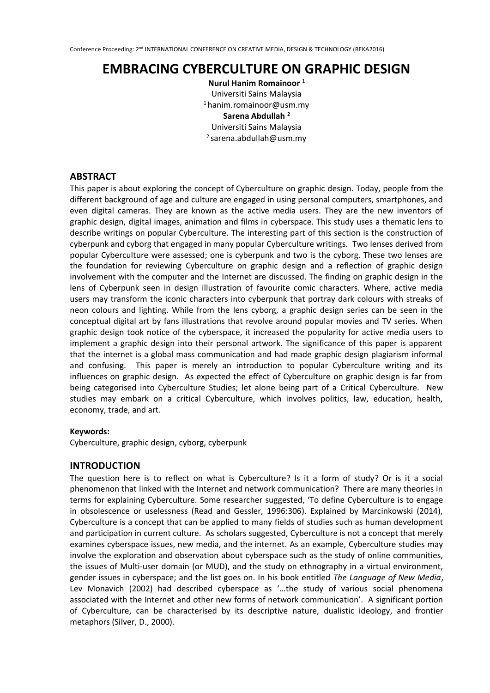# **EMBRACING CYBERCULTURE ON GRAPHIC DESIGN**

**Nurul Hanim Romainoor** <sup>1</sup> Universiti Sains Malaysia <sup>1</sup>hanim.romainoor@usm.my **Sarena Abdullah <sup>2</sup>** Universiti Sains Malaysia  $2$  sarena.abdullah@usm.my

# **ABSTRACT**

This paper is about exploring the concept of Cyberculture on graphic design. Today, people from the different background of age and culture are engaged in using personal computers, smartphones, and even digital cameras. They are known as the active media users. They are the new inventors of graphic design, digital images, animation and films in cyberspace. This study uses a thematic lens to describe writings on popular Cyberculture. The interesting part of this section is the construction of cyberpunk and cyborg that engaged in many popular Cyberculture writings. Two lenses derived from popular Cyberculture were assessed; one is cyberpunk and two is the cyborg. These two lenses are the foundation for reviewing Cyberculture on graphic design and a reflection of graphic design involvement with the computer and the Internet are discussed. The finding on graphic design in the lens of Cyberpunk seen in design illustration of favourite comic characters. Where, active media users may transform the iconic characters into cyberpunk that portray dark colours with streaks of neon colours and lighting. While from the lens cyborg, a graphic design series can be seen in the conceptual digital art by fans illustrations that revolve around popular movies and TV series. When graphic design took notice of the cyberspace, it increased the popularity for active media users to implement a graphic design into their personal artwork. The significance of this paper is apparent that the internet is a global mass communication and had made graphic design plagiarism informal and confusing. This paper is merely an introduction to popular Cyberculture writing and its influences on graphic design. As expected the effect of Cyberculture on graphic design is far from being categorised into Cyberculture Studies; let alone being part of a Critical Cyberculture. New studies may embark on a critical Cyberculture, which involves politics, law, education, health, economy, trade, and art.

# **Keywords:**

Cyberculture, graphic design, cyborg, cyberpunk

# **INTRODUCTION**

The question here is to reflect on what is Cyberculture? Is it a form of study? Or is it a social phenomenon that linked with the Internet and network communication? There are many theories in terms for explaining Cyberculture. Some researcher suggested, 'To define Cyberculture is to engage in obsolescence or uselessness (Read and Gessler, 1996:306). Explained by Marcinkowski (2014), Cyberculture is a concept that can be applied to many fields of studies such as human development and participation in current culture. As scholars suggested, Cyberculture is not a concept that merely examines cyberspace issues, new media, and the internet. As an example, Cyberculture studies may involve the exploration and observation about cyberspace such as the study of online communities, the issues of Multi-user domain (or MUD), and the study on ethnography in a virtual environment, gender issues in cyberspace; and the list goes on. In his book entitled *The Language of New Media*, Lev Monavich (2002) had described cyberspace as '…the study of various social phenomena associated with the Internet and other new forms of network communication'. A significant portion of Cyberculture, can be characterised by its descriptive nature, dualistic ideology, and frontier metaphors (Silver, D., 2000).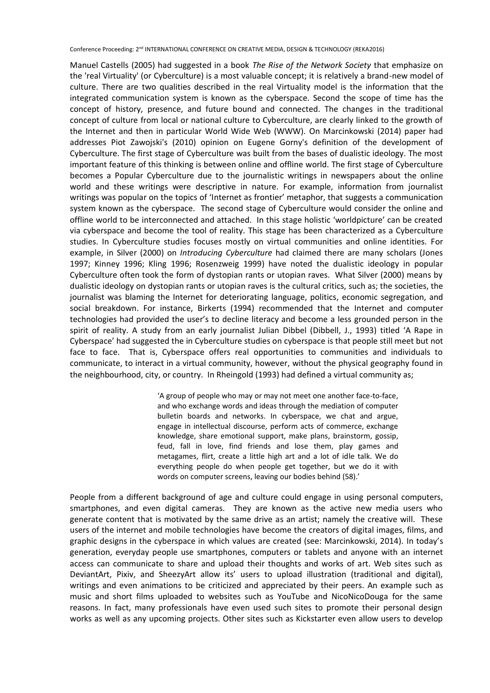Manuel Castells (2005) had suggested in a book *The Rise of the Network Society* that emphasize on the 'real Virtuality' (or Cyberculture) is a most valuable concept; it is relatively a brand-new model of culture. There are two qualities described in the real Virtuality model is the information that the integrated communication system is known as the cyberspace. Second the scope of time has the concept of history, presence, and future bound and connected. The changes in the traditional concept of culture from local or national culture to Cyberculture, are clearly linked to the growth of the Internet and then in particular World Wide Web (WWW). On Marcinkowski (2014) paper had addresses Piot Zawojski's (2010) opinion on Eugene Gorny's definition of the development of Cyberculture. The first stage of Cyberculture was built from the bases of dualistic ideology. The most important feature of this thinking is between online and offline world. The first stage of Cyberculture becomes a Popular Cyberculture due to the journalistic writings in newspapers about the online world and these writings were descriptive in nature. For example, information from journalist writings was popular on the topics of 'Internet as frontier' metaphor, that suggests a communication system known as the cyberspace. The second stage of Cyberculture would consider the online and offline world to be interconnected and attached. In this stage holistic 'worldpicture' can be created via cyberspace and become the tool of reality. This stage has been characterized as a Cyberculture studies. In Cyberculture studies focuses mostly on virtual communities and online identities. For example, in Silver (2000) on *Introducing Cyberculture* had claimed there are many scholars (Jones 1997; Kinney 1996; Kling 1996; Rosenzweig 1999) have noted the dualistic ideology in popular Cyberculture often took the form of dystopian rants or utopian raves. What Silver (2000) means by dualistic ideology on dystopian rants or utopian raves is the cultural critics, such as; the societies, the journalist was blaming the Internet for deteriorating language, politics, economic segregation, and social breakdown. For instance, Birkerts (1994) recommended that the Internet and computer technologies had provided the user's to decline literacy and become a less grounded person in the spirit of reality. A study from an early journalist Julian Dibbel (Dibbell, J., 1993) titled 'A Rape in Cyberspace' had suggested the in Cyberculture studies on cyberspace is that people still meet but not face to face. That is, Cyberspace offers real opportunities to communities and individuals to communicate, to interact in a virtual community, however, without the physical geography found in the neighbourhood, city, or country. In Rheingold (1993) had defined a virtual community as;

> 'A group of people who may or may not meet one another face-to-face, and who exchange words and ideas through the mediation of computer bulletin boards and networks. In cyberspace, we chat and argue, engage in intellectual discourse, perform acts of commerce, exchange knowledge, share emotional support, make plans, brainstorm, gossip, feud, fall in love, find friends and lose them, play games and metagames, flirt, create a little high art and a lot of idle talk. We do everything people do when people get together, but we do it with words on computer screens, leaving our bodies behind (58).'

People from a different background of age and culture could engage in using personal computers, smartphones, and even digital cameras. They are known as the active new media users who generate content that is motivated by the same drive as an artist; namely the creative will. These users of the internet and mobile technologies have become the creators of digital images, films, and graphic designs in the cyberspace in which values are created (see: Marcinkowski, 2014). In today's generation, everyday people use smartphones, computers or tablets and anyone with an internet access can communicate to share and upload their thoughts and works of art. Web sites such as DeviantArt, Pixiv, and SheezyArt allow its' users to upload illustration (traditional and digital), writings and even animations to be criticized and appreciated by their peers. An example such as music and short films uploaded to websites such as YouTube and NicoNicoDouga for the same reasons. In fact, many professionals have even used such sites to promote their personal design works as well as any upcoming projects. Other sites such as Kickstarter even allow users to develop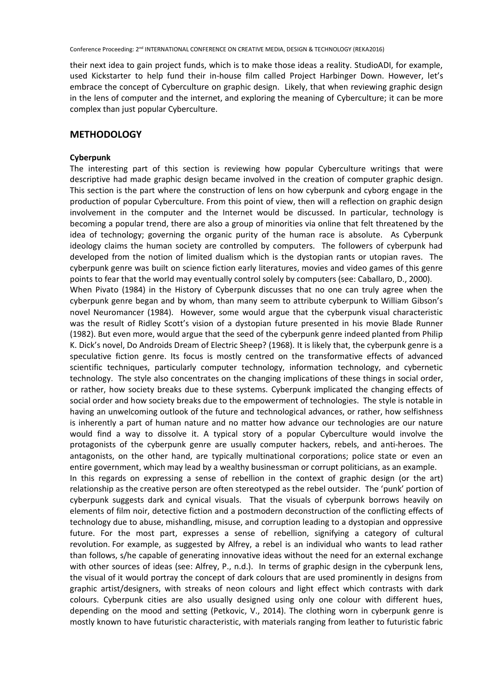their next idea to gain project funds, which is to make those ideas a reality. StudioADI, for example, used Kickstarter to help fund their in-house film called Project Harbinger Down. However, let's embrace the concept of Cyberculture on graphic design. Likely, that when reviewing graphic design in the lens of computer and the internet, and exploring the meaning of Cyberculture; it can be more complex than just popular Cyberculture.

# **METHODOLOGY**

### **Cyberpunk**

The interesting part of this section is reviewing how popular Cyberculture writings that were descriptive had made graphic design became involved in the creation of computer graphic design. This section is the part where the construction of lens on how cyberpunk and cyborg engage in the production of popular Cyberculture. From this point of view, then will a reflection on graphic design involvement in the computer and the Internet would be discussed. In particular, technology is becoming a popular trend, there are also a group of minorities via online that felt threatened by the idea of technology; governing the organic purity of the human race is absolute. As Cyberpunk ideology claims the human society are controlled by computers. The followers of cyberpunk had developed from the notion of limited dualism which is the dystopian rants or utopian raves. The cyberpunk genre was built on science fiction early literatures, movies and video games of this genre points to fear that the world may eventually control solely by computers (see: Caballaro, D., 2000). When Pivato (1984) in the History of Cyberpunk discusses that no one can truly agree when the cyberpunk genre began and by whom, than many seem to attribute cyberpunk to William Gibson's novel Neuromancer (1984). However, some would argue that the cyberpunk visual characteristic was the result of Ridley Scott's vision of a dystopian future presented in his movie Blade Runner (1982). But even more, would argue that the seed of the cyberpunk genre indeed planted from Philip K. Dick's novel, Do Androids Dream of Electric Sheep? (1968). It is likely that, the cyberpunk genre is a speculative fiction genre. Its focus is mostly centred on the transformative effects of advanced scientific techniques, particularly computer technology, information technology, and cybernetic technology. The style also concentrates on the changing implications of these things in social order, or rather, how society breaks due to these systems. Cyberpunk implicated the changing effects of social order and how society breaks due to the empowerment of technologies. The style is notable in having an unwelcoming outlook of the future and technological advances, or rather, how selfishness is inherently a part of human nature and no matter how advance our technologies are our nature would find a way to dissolve it. A typical story of a popular Cyberculture would involve the protagonists of the cyberpunk genre are usually computer hackers, rebels, and anti-heroes. The antagonists, on the other hand, are typically multinational corporations; police state or even an entire government, which may lead by a wealthy businessman or corrupt politicians, as an example. In this regards on expressing a sense of rebellion in the context of graphic design (or the art) relationship as the creative person are often stereotyped as the rebel outsider. The 'punk' portion of cyberpunk suggests dark and cynical visuals. That the visuals of cyberpunk borrows heavily on elements of film noir, detective fiction and a postmodern deconstruction of the conflicting effects of technology due to abuse, mishandling, misuse, and corruption leading to a dystopian and oppressive future. For the most part, expresses a sense of rebellion, signifying a category of cultural revolution. For example, as suggested by Alfrey, a rebel is an individual who wants to lead rather than follows, s/he capable of generating innovative ideas without the need for an external exchange with other sources of ideas (see: Alfrey, P., n.d.). In terms of graphic design in the cyberpunk lens, the visual of it would portray the concept of dark colours that are used prominently in designs from graphic artist/designers, with streaks of neon colours and light effect which contrasts with dark colours. Cyberpunk cities are also usually designed using only one colour with different hues, depending on the mood and setting (Petkovic, V., 2014). The clothing worn in cyberpunk genre is mostly known to have futuristic characteristic, with materials ranging from leather to futuristic fabric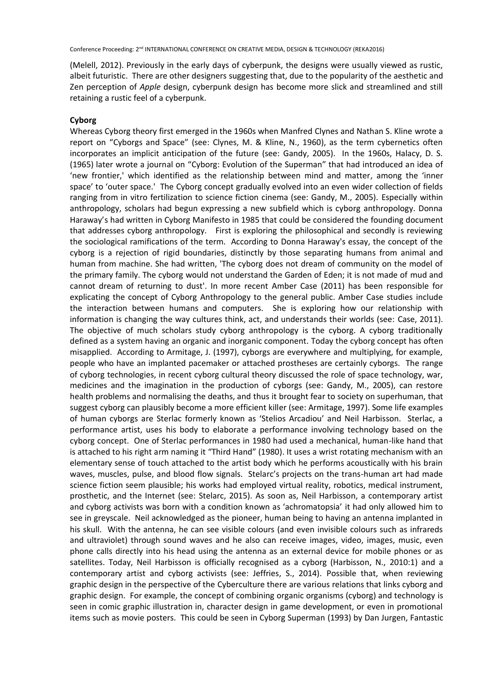(Melell, 2012). Previously in the early days of cyberpunk, the designs were usually viewed as rustic, albeit futuristic. There are other designers suggesting that, due to the popularity of the aesthetic and Zen perception of *Apple* design, cyberpunk design has become more slick and streamlined and still retaining a rustic feel of a cyberpunk.

#### **Cyborg**

Whereas Cyborg theory first emerged in the 1960s when Manfred Clynes and Nathan S. Kline wrote a report on "Cyborgs and Space" (see: Clynes, M. & Kline, N., 1960), as the term cybernetics often incorporates an implicit anticipation of the future (see: Gandy, 2005). In the 1960s, Halacy, D. S. (1965) later wrote a journal on "Cyborg: Evolution of the Superman" that had introduced an idea of 'new frontier,' which identified as the relationship between mind and matter, among the 'inner space' to 'outer space.' The Cyborg concept gradually evolved into an even wider collection of fields ranging from in vitro fertilization to science fiction cinema (see: Gandy, M., 2005). Especially within anthropology, scholars had begun expressing a new subfield which is cyborg anthropology. Donna Haraway's had written in Cyborg Manifesto in 1985 that could be considered the founding document that addresses cyborg anthropology. First is exploring the philosophical and secondly is reviewing the sociological ramifications of the term. According to Donna Haraway's essay, the concept of the cyborg is a rejection of rigid boundaries, distinctly by those separating humans from animal and human from machine. She had written, 'The cyborg does not dream of community on the model of the primary family. The cyborg would not understand the Garden of Eden; it is not made of mud and cannot dream of returning to dust'. In more recent Amber Case (2011) has been responsible for explicating the concept of Cyborg Anthropology to the general public. Amber Case studies include the interaction between humans and computers. She is exploring how our relationship with information is changing the way cultures think, act, and understands their worlds (see: Case, 2011). The objective of much scholars study cyborg anthropology is the cyborg. A cyborg traditionally defined as a system having an organic and inorganic component. Today the cyborg concept has often misapplied. According to Armitage, J. (1997), cyborgs are everywhere and multiplying, for example, people who have an implanted pacemaker or attached prostheses are certainly cyborgs. The range of cyborg technologies, in recent cyborg cultural theory discussed the role of space technology, war, medicines and the imagination in the production of cyborgs (see: Gandy, M., 2005), can restore health problems and normalising the deaths, and thus it brought fear to society on superhuman, that suggest cyborg can plausibly become a more efficient killer (see: Armitage, 1997). Some life examples of human cyborgs are Sterlac formerly known as 'Stelios Arcadiou' and Neil Harbisson. Sterlac, a performance artist, uses his body to elaborate a performance involving technology based on the cyborg concept. One of Sterlac performances in 1980 had used a mechanical, human-like hand that is attached to his right arm naming it "Third Hand" (1980). It uses a wrist rotating mechanism with an elementary sense of touch attached to the artist body which he performs acoustically with his brain waves, muscles, pulse, and blood flow signals. Stelarc's projects on the trans-human art had made science fiction seem plausible; his works had employed virtual reality, robotics, medical instrument, prosthetic, and the Internet (see: Stelarc, 2015). As soon as, Neil Harbisson, a contemporary artist and cyborg activists was born with a condition known as 'achromatopsia' it had only allowed him to see in greyscale. Neil acknowledged as the pioneer, human being to having an antenna implanted in his skull. With the antenna, he can see visible colours (and even invisible colours such as infrareds and ultraviolet) through sound waves and he also can receive images, video, images, music, even phone calls directly into his head using the antenna as an external device for mobile phones or as satellites. Today, Neil Harbisson is officially recognised as a cyborg (Harbisson, N., 2010:1) and a contemporary artist and cyborg activists (see: Jeffries, S., 2014). Possible that, when reviewing graphic design in the perspective of the Cyberculture there are various relations that links cyborg and graphic design. For example, the concept of combining organic organisms (cyborg) and technology is seen in comic graphic illustration in, character design in game development, or even in promotional items such as movie posters. This could be seen in Cyborg Superman (1993) by Dan Jurgen, Fantastic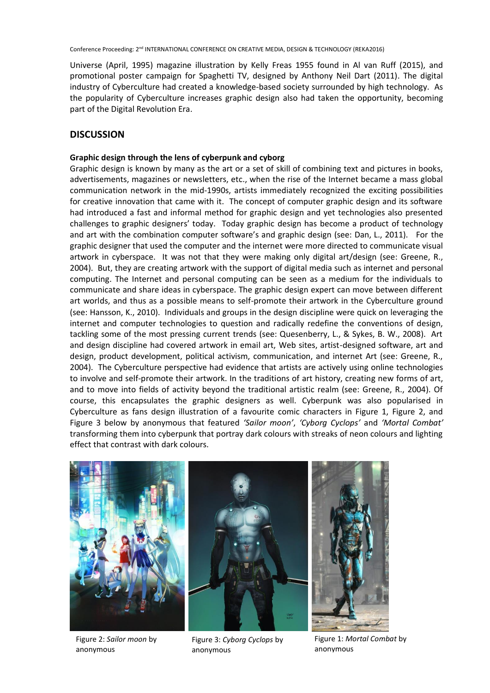Universe (April, 1995) magazine illustration by Kelly Freas 1955 found in Al van Ruff (2015), and promotional poster campaign for Spaghetti TV, designed by Anthony Neil Dart (2011). The digital industry of Cyberculture had created a knowledge-based society surrounded by high technology. As the popularity of Cyberculture increases graphic design also had taken the opportunity, becoming part of the Digital Revolution Era.

# **DISCUSSION**

# **Graphic design through the lens of cyberpunk and cyborg**

Graphic design is known by many as the art or a set of skill of combining text and pictures in books, advertisements, magazines or newsletters, etc., when the rise of the Internet became a mass global communication network in the mid-1990s, artists immediately recognized the exciting possibilities for creative innovation that came with it. The concept of computer graphic design and its software had introduced a fast and informal method for graphic design and yet technologies also presented challenges to graphic designers' today. Today graphic design has become a product of technology and art with the combination computer software's and graphic design (see: Dan, L., 2011). For the graphic designer that used the computer and the internet were more directed to communicate visual artwork in cyberspace. It was not that they were making only digital art/design (see: Greene, R., 2004). But, they are creating artwork with the support of digital media such as internet and personal computing. The Internet and personal computing can be seen as a medium for the individuals to communicate and share ideas in cyberspace. The graphic design expert can move between different art worlds, and thus as a possible means to self-promote their artwork in the Cyberculture ground (see: Hansson, K., 2010). Individuals and groups in the design discipline were quick on leveraging the internet and computer technologies to question and radically redefine the conventions of design, tackling some of the most pressing current trends (see: Quesenberry, L., & Sykes, B. W., 2008). Art and design discipline had covered artwork in email art, Web sites, artist-designed software, art and design, product development, political activism, communication, and internet Art (see: Greene, R., 2004). The Cyberculture perspective had evidence that artists are actively using online technologies to involve and self-promote their artwork. In the traditions of art history, creating new forms of art, and to move into fields of activity beyond the traditional artistic realm (see: Greene, R., 2004). Of course, this encapsulates the graphic designers as well. Cyberpunk was also popularised in Cyberculture as fans design illustration of a favourite comic characters in Figure 1, Figure 2, and Figure 3 below by anonymous that featured *'Sailor moon'*, *'Cyborg Cyclops'* and *'Mortal Combat'* transforming them into cyberpunk that portray dark colours with streaks of neon colours and lighting effect that contrast with dark colours.



Figure 2: *Sailor moon* by anonymous

Figure 3: *Cyborg Cyclops* by anonymous

Figure 1: *Mortal Combat* by anonymous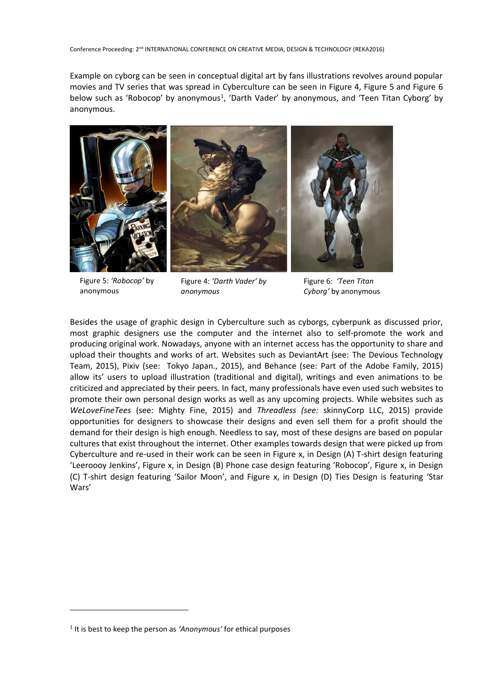Example on cyborg can be seen in conceptual digital art by fans illustrations revolves around popular movies and TV series that was spread in Cyberculture can be seen in Figure 4, Figure 5 and Figure 6 below such as 'Robocop' by anonymous<sup>1</sup>, 'Darth Vader' by anonymous, and 'Teen Titan Cyborg' by anonymous.



Figure 5: *'Robocop'* by anonymous

1

Figure 4: *'Darth Vader' by anonymous*

Figure 6: *'Teen Titan Cyborg'* by anonymous

Besides the usage of graphic design in Cyberculture such as cyborgs, cyberpunk as discussed prior, most graphic designers use the computer and the internet also to self-promote the work and producing original work. Nowadays, anyone with an internet access has the opportunity to share and upload their thoughts and works of art. Websites such as DeviantArt (see: The Devious Technology Team, 2015), Pixiv (see: Tokyo Japan., 2015), and Behance (see: Part of the Adobe Family, 2015) allow its' users to upload illustration (traditional and digital), writings and even animations to be criticized and appreciated by their peers. In fact, many professionals have even used such websites to promote their own personal design works as well as any upcoming projects. While websites such as *WeLoveFineTees* (see: Mighty Fine, 2015) and *Threadless (see:* skinnyCorp LLC, 2015) provide opportunities for designers to showcase their designs and even sell them for a profit should the demand for their design is high enough. Needless to say, most of these designs are based on popular cultures that exist throughout the internet. Other examples towards design that were picked up from Cyberculture and re-used in their work can be seen in Figure x, in Design (A) T-shirt design featuring 'Leeroooy Jenkins', Figure x, in Design (B) Phone case design featuring 'Robocop', Figure x, in Design (C) T-shirt design featuring 'Sailor Moon', and Figure x, in Design (D) Ties Design is featuring 'Star Wars'

<sup>&</sup>lt;sup>1</sup> It is best to keep the person as 'Anonymous' for ethical purposes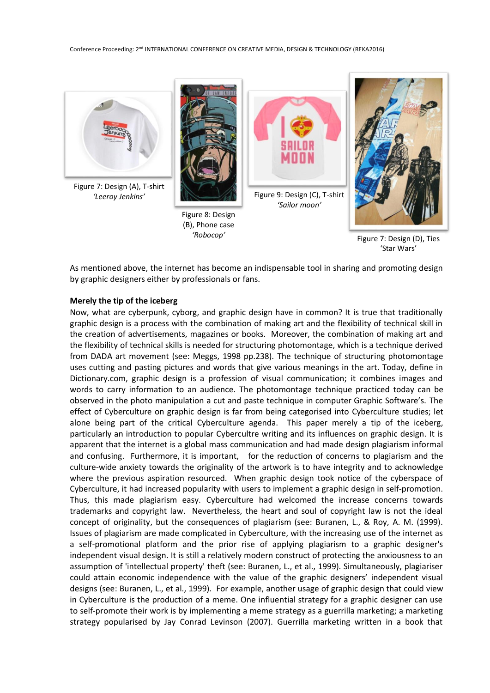

Figure 7: Design (D), Ties 'Star Wars'

As mentioned above, the internet has become an indispensable tool in sharing and promoting design by graphic designers either by professionals or fans.

#### **Merely the tip of the iceberg**

Now, what are cyberpunk, cyborg, and graphic design have in common? It is true that traditionally graphic design is a process with the combination of making art and the flexibility of technical skill in the creation of advertisements, magazines or books. Moreover, the combination of making art and the flexibility of technical skills is needed for structuring photomontage, which is a technique derived from DADA art movement (see: Meggs, 1998 pp.238). The technique of structuring photomontage uses cutting and pasting pictures and words that give various meanings in the art. Today, define in Dictionary.com, graphic design is a profession of visual communication; it combines images and words to carry information to an audience. The photomontage technique practiced today can be observed in the photo manipulation a cut and paste technique in computer Graphic Software's. The effect of Cyberculture on graphic design is far from being categorised into Cyberculture studies; let alone being part of the critical Cyberculture agenda. This paper merely a tip of the iceberg, particularly an introduction to popular Cybercultre writing and its influences on graphic design. It is apparent that the internet is a global mass communication and had made design plagiarism informal and confusing. Furthermore, it is important, for the reduction of concerns to plagiarism and the culture-wide anxiety towards the originality of the artwork is to have integrity and to acknowledge where the previous aspiration resourced. When graphic design took notice of the cyberspace of Cyberculture, it had increased popularity with users to implement a graphic design in self-promotion. Thus, this made plagiarism easy. Cyberculture had welcomed the increase concerns towards trademarks and copyright law. Nevertheless, the heart and soul of copyright law is not the ideal concept of originality, but the consequences of plagiarism (see: Buranen, L., & Roy, A. M. (1999). Issues of plagiarism are made complicated in Cyberculture, with the increasing use of the internet as a self-promotional platform and the prior rise of applying plagiarism to a graphic designer's independent visual design. It is still a relatively modern construct of protecting the anxiousness to an assumption of 'intellectual property' theft (see: Buranen, L., et al., 1999). Simultaneously, plagiariser could attain economic independence with the value of the graphic designers' independent visual designs (see: Buranen, L., et al., 1999). For example, another usage of graphic design that could view in Cyberculture is the production of a meme. One influential strategy for a graphic designer can use to self-promote their work is by implementing a meme strategy as a guerrilla marketing; a marketing strategy popularised by Jay Conrad Levinson (2007). Guerrilla marketing written in a book that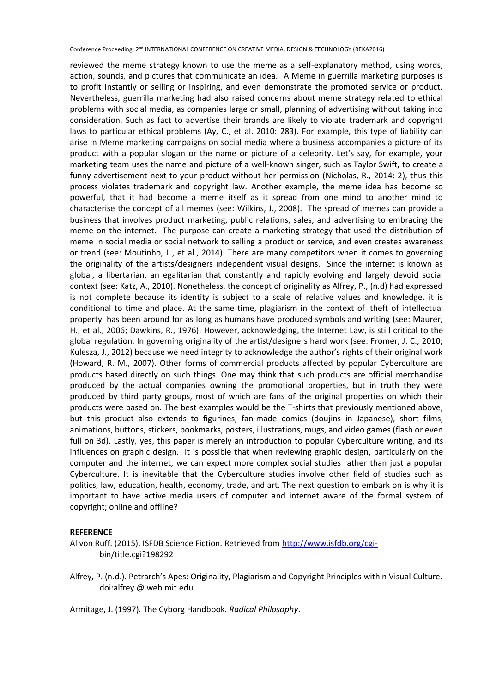reviewed the meme strategy known to use the meme as a self-explanatory method, using words, action, sounds, and pictures that communicate an idea. A Meme in guerrilla marketing purposes is to profit instantly or selling or inspiring, and even demonstrate the promoted service or product. Nevertheless, guerrilla marketing had also raised concerns about meme strategy related to ethical problems with social media, as companies large or small, planning of advertising without taking into consideration. Such as fact to advertise their brands are likely to violate trademark and copyright laws to particular ethical problems (Ay, C., et al. 2010: 283). For example, this type of liability can arise in Meme marketing campaigns on social media where a business accompanies a picture of its product with a popular slogan or the name or picture of a celebrity. Let's say, for example, your marketing team uses the name and picture of a well-known singer, such as Taylor Swift, to create a funny advertisement next to your product without her permission (Nicholas, R., 2014: 2), thus this process violates trademark and copyright law. Another example, the meme idea has become so powerful, that it had become a meme itself as it spread from one mind to another mind to characterise the concept of all memes (see: Wilkins, J., 2008). The spread of memes can provide a business that involves product marketing, public relations, sales, and advertising to embracing the meme on the internet. The purpose can create a marketing strategy that used the distribution of meme in social media or social network to selling a product or service, and even creates awareness or trend (see: Moutinho, L., et al., 2014). There are many competitors when it comes to governing the originality of the artists/designers independent visual designs. Since the internet is known as global, a libertarian, an egalitarian that constantly and rapidly evolving and largely devoid social context (see: Katz, A., 2010). Nonetheless, the concept of originality as Alfrey, P., (n.d) had expressed is not complete because its identity is subject to a scale of relative values and knowledge, it is conditional to time and place. At the same time, plagiarism in the context of 'theft of intellectual property' has been around for as long as humans have produced symbols and writing (see: Maurer, H., et al., 2006; Dawkins, R., 1976). However, acknowledging, the Internet Law, is still critical to the global regulation. In governing originality of the artist/designers hard work (see: Fromer, J. C., 2010; Kulesza, J., 2012) because we need integrity to acknowledge the author's rights of their original work (Howard, R. M., 2007). Other forms of commercial products affected by popular Cyberculture are products based directly on such things. One may think that such products are official merchandise produced by the actual companies owning the promotional properties, but in truth they were produced by third party groups, most of which are fans of the original properties on which their products were based on. The best examples would be the T-shirts that previously mentioned above, but this product also extends to figurines, fan-made comics (doujins in Japanese), short films, animations, buttons, stickers, bookmarks, posters, illustrations, mugs, and video games (flash or even full on 3d). Lastly, yes, this paper is merely an introduction to popular Cyberculture writing, and its influences on graphic design. It is possible that when reviewing graphic design, particularly on the computer and the internet, we can expect more complex social studies rather than just a popular Cyberculture. It is inevitable that the Cyberculture studies involve other field of studies such as politics, law, education, health, economy, trade, and art. The next question to embark on is why it is important to have active media users of computer and internet aware of the formal system of copyright; online and offline?

#### **REFERENCE**

- Al von Ruff. (2015). ISFDB Science Fiction. Retrieved from [http://www.isfdb.org/cgi](http://www.isfdb.org/cgi-)bin/title.cgi?198292
- Alfrey, P. (n.d.). Petrarch's Apes: Originality, Plagiarism and Copyright Principles within Visual Culture. doi:alfrey @ web.mit.edu

Armitage, J. (1997). The Cyborg Handbook. *Radical Philosophy*.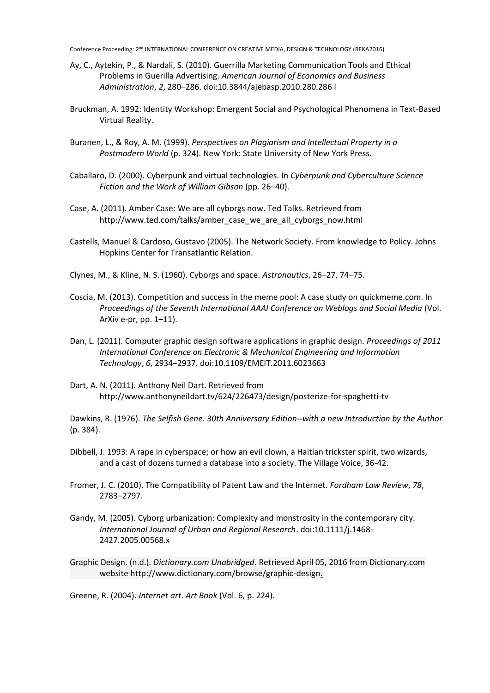- Ay, C., Aytekin, P., & Nardali, S. (2010). Guerrilla Marketing Communication Tools and Ethical Problems in Guerilla Advertising. *American Journal of Economics and Business Administration*, *2*, 280–286. doi:10.3844/ajebasp.2010.280.286 l
- Bruckman, A. 1992: Identity Workshop: Emergent Social and Psychological Phenomena in Text-Based Virtual Reality.
- Buranen, L., & Roy, A. M. (1999). *Perspectives on Plagiarism and Intellectual Property in a Postmodern World* (p. 324). New York: State University of New York Press.
- Caballaro, D. (2000). Cyberpunk and virtual technologies. In *Cyberpunk and Cyberculture Science Fiction and the Work of William Gibson* (pp. 26–40).
- Case, A. (2011). Amber Case: We are all cyborgs now. Ted Talks. Retrieved from http://www.ted.com/talks/amber\_case\_we\_are\_all\_cyborgs\_now.html
- Castells, Manuel & Cardoso, Gustavo (2005). The Network Society. From knowledge to Policy. Johns Hopkins Center for Transatlantic Relation.
- Clynes, M., & Kline, N. S. (1960). Cyborgs and space. *Astronautics*, 26–27, 74–75.
- Coscia, M. (2013). Competition and success in the meme pool: A case study on quickmeme.com. In *Proceedings of the Seventh International AAAI Conference on Weblogs and Social Media* (Vol. ArXiv e-pr, pp. 1–11).
- Dan, L. (2011). Computer graphic design software applications in graphic design. *Proceedings of 2011 International Conference on Electronic & Mechanical Engineering and Information Technology*, *6*, 2934–2937. doi:10.1109/EMEIT.2011.6023663
- Dart, A. N. (2011). Anthony Neil Dart. Retrieved from http://www.anthonyneildart.tv/624/226473/design/posterize-for-spaghetti-tv

Dawkins, R. (1976). *The Selfish Gene*. *30th Anniversary Edition--with a new Introduction by the Author* (p. 384).

- Dibbell, J. 1993: A rape in cyberspace; or how an evil clown, a Haitian trickster spirit, two wizards, and a cast of dozens turned a database into a society. The Village Voice, 36-42.
- Fromer, J. C. (2010). The Compatibility of Patent Law and the Internet. *Fordham Law Review*, *78*, 2783–2797.
- Gandy, M. (2005). Cyborg urbanization: Complexity and monstrosity in the contemporary city. *International Journal of Urban and Regional Research*. doi:10.1111/j.1468- 2427.2005.00568.x
- Graphic Design. (n.d.). *Dictionary.com Unabridged*. Retrieved April 05, 2016 from Dictionary.com website http://www.dictionary.com/browse/graphic-design.

Greene, R. (2004). *Internet art*. *Art Book* (Vol. 6, p. 224).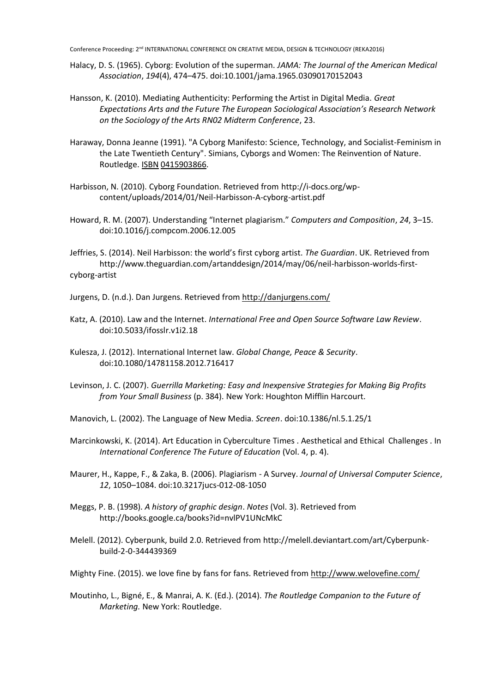- Halacy, D. S. (1965). Cyborg: Evolution of the superman. *JAMA: The Journal of the American Medical Association*, *194*(4), 474–475. doi:10.1001/jama.1965.03090170152043
- Hansson, K. (2010). Mediating Authenticity: Performing the Artist in Digital Media. *Great Expectations Arts and the Future The European Sociological Association's Research Network on the Sociology of the Arts RN02 Midterm Conference*, 23.
- Haraway, Donna Jeanne (1991). "A Cyborg Manifesto: Science, Technology, and Socialist-Feminism in the Late Twentieth Century". Simians, Cyborgs and Women: The Reinvention of Nature. Routledge. [ISBN](https://en.wikipedia.org/wiki/International_Standard_Book_Number) [0415903866.](https://en.wikipedia.org/wiki/Special:BookSources/0415903866)
- Harbisson, N. (2010). Cyborg Foundation. Retrieved from http://i-docs.org/wpcontent/uploads/2014/01/Neil-Harbisson-A-cyborg-artist.pdf
- Howard, R. M. (2007). Understanding "Internet plagiarism." *Computers and Composition*, *24*, 3–15. doi:10.1016/j.compcom.2006.12.005

Jeffries, S. (2014). Neil Harbisson: the world's first cyborg artist. *The Guardian*. UK. Retrieved from http://www.theguardian.com/artanddesign/2014/may/06/neil-harbisson-worlds-firstcyborg-artist

- Jurgens, D. (n.d.). Dan Jurgens. Retrieved from<http://danjurgens.com/>
- Katz, A. (2010). Law and the Internet. *International Free and Open Source Software Law Review*. doi:10.5033/ifosslr.v1i2.18
- Kulesza, J. (2012). International Internet law. *Global Change, Peace & Security*. doi:10.1080/14781158.2012.716417
- Levinson, J. C. (2007). *Guerrilla Marketing: Easy and Inexpensive Strategies for Making Big Profits from Your Small Business* (p. 384). New York: Houghton Mifflin Harcourt.

Manovich, L. (2002). The Language of New Media. *Screen*. doi:10.1386/nl.5.1.25/1

- Marcinkowski, K. (2014). Art Education in Cyberculture Times . Aesthetical and Ethical Challenges . In *International Conference The Future of Education* (Vol. 4, p. 4).
- Maurer, H., Kappe, F., & Zaka, B. (2006). Plagiarism A Survey. *Journal of Universal Computer Science*, *12*, 1050–1084. doi:10.3217jucs-012-08-1050
- Meggs, P. B. (1998). *A history of graphic design*. *Notes* (Vol. 3). Retrieved from http://books.google.ca/books?id=nvlPV1UNcMkC
- Melell. (2012). Cyberpunk, build 2.0. Retrieved from http://melell.deviantart.com/art/Cyberpunkbuild-2-0-344439369
- Mighty Fine. (2015). we love fine by fans for fans. Retrieved from<http://www.welovefine.com/>
- Moutinho, L., Bigné, E., & Manrai, A. K. (Ed.). (2014). *The Routledge Companion to the Future of Marketing.* New York: Routledge.